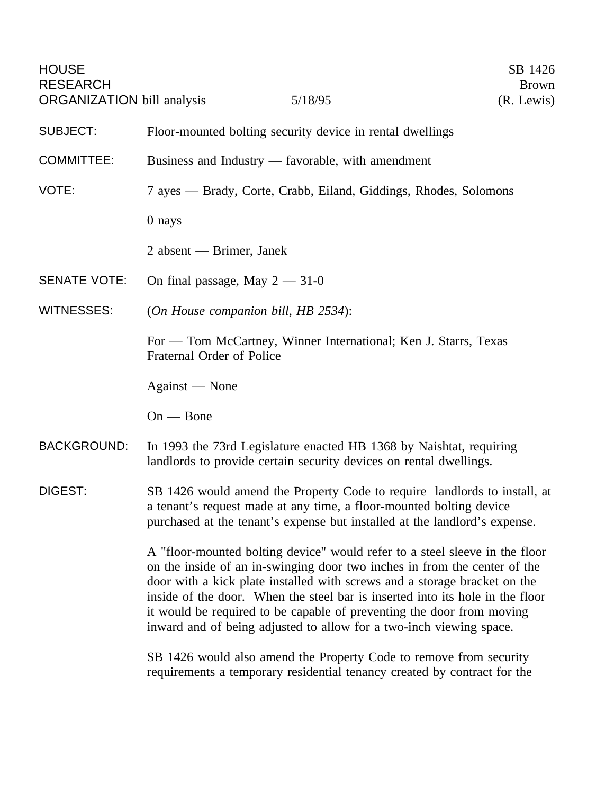| <b>HOUSE</b><br><b>RESEARCH</b><br><b>ORGANIZATION</b> bill analysis |                                                                                                                                                                                                                                                                                                                                                                                                                                                                        | 5/18/95                                                                                                                                                                                                                        | SB 1426<br><b>Brown</b><br>(R. Lewis) |
|----------------------------------------------------------------------|------------------------------------------------------------------------------------------------------------------------------------------------------------------------------------------------------------------------------------------------------------------------------------------------------------------------------------------------------------------------------------------------------------------------------------------------------------------------|--------------------------------------------------------------------------------------------------------------------------------------------------------------------------------------------------------------------------------|---------------------------------------|
| <b>SUBJECT:</b>                                                      | Floor-mounted bolting security device in rental dwellings                                                                                                                                                                                                                                                                                                                                                                                                              |                                                                                                                                                                                                                                |                                       |
| <b>COMMITTEE:</b>                                                    | Business and Industry — favorable, with amendment                                                                                                                                                                                                                                                                                                                                                                                                                      |                                                                                                                                                                                                                                |                                       |
| VOTE:                                                                | 7 ayes — Brady, Corte, Crabb, Eiland, Giddings, Rhodes, Solomons                                                                                                                                                                                                                                                                                                                                                                                                       |                                                                                                                                                                                                                                |                                       |
|                                                                      | $0$ nays                                                                                                                                                                                                                                                                                                                                                                                                                                                               |                                                                                                                                                                                                                                |                                       |
|                                                                      | 2 absent — Brimer, Janek                                                                                                                                                                                                                                                                                                                                                                                                                                               |                                                                                                                                                                                                                                |                                       |
| <b>SENATE VOTE:</b>                                                  | On final passage, May $2 - 31 - 0$                                                                                                                                                                                                                                                                                                                                                                                                                                     |                                                                                                                                                                                                                                |                                       |
| <b>WITNESSES:</b>                                                    | (On House companion bill, HB 2534):                                                                                                                                                                                                                                                                                                                                                                                                                                    |                                                                                                                                                                                                                                |                                       |
|                                                                      | For — Tom McCartney, Winner International; Ken J. Starrs, Texas<br>Fraternal Order of Police                                                                                                                                                                                                                                                                                                                                                                           |                                                                                                                                                                                                                                |                                       |
|                                                                      | Against — None                                                                                                                                                                                                                                                                                                                                                                                                                                                         |                                                                                                                                                                                                                                |                                       |
|                                                                      | $On - Bone$                                                                                                                                                                                                                                                                                                                                                                                                                                                            |                                                                                                                                                                                                                                |                                       |
| <b>BACKGROUND:</b>                                                   | In 1993 the 73rd Legislature enacted HB 1368 by Naishtat, requiring<br>landlords to provide certain security devices on rental dwellings.                                                                                                                                                                                                                                                                                                                              |                                                                                                                                                                                                                                |                                       |
| DIGEST:                                                              |                                                                                                                                                                                                                                                                                                                                                                                                                                                                        | SB 1426 would amend the Property Code to require landlords to install, at<br>a tenant's request made at any time, a floor-mounted bolting device<br>purchased at the tenant's expense but installed at the landlord's expense. |                                       |
|                                                                      | A "floor-mounted bolting device" would refer to a steel sleeve in the floor<br>on the inside of an in-swinging door two inches in from the center of the<br>door with a kick plate installed with screws and a storage bracket on the<br>inside of the door. When the steel bar is inserted into its hole in the floor<br>it would be required to be capable of preventing the door from moving<br>inward and of being adjusted to allow for a two-inch viewing space. |                                                                                                                                                                                                                                |                                       |
|                                                                      |                                                                                                                                                                                                                                                                                                                                                                                                                                                                        | SB 1426 would also amend the Property Code to remove from security<br>requirements a temporary residential tenancy created by contract for the                                                                                 |                                       |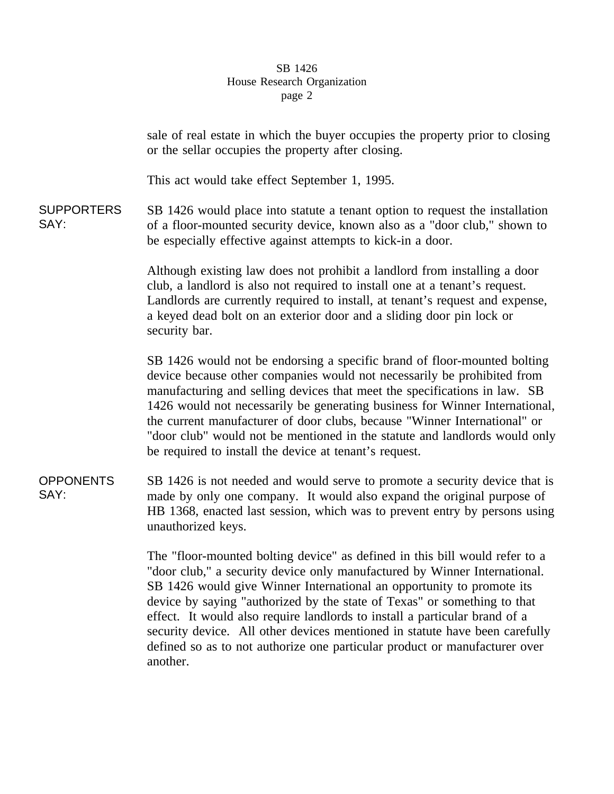## SB 1426 House Research Organization page 2

sale of real estate in which the buyer occupies the property prior to closing or the sellar occupies the property after closing. This act would take effect September 1, 1995. SUPPORTERS SAY: SB 1426 would place into statute a tenant option to request the installation of a floor-mounted security device, known also as a "door club," shown to be especially effective against attempts to kick-in a door. Although existing law does not prohibit a landlord from installing a door club, a landlord is also not required to install one at a tenant's request. Landlords are currently required to install, at tenant's request and expense, a keyed dead bolt on an exterior door and a sliding door pin lock or security bar. SB 1426 would not be endorsing a specific brand of floor-mounted bolting device because other companies would not necessarily be prohibited from manufacturing and selling devices that meet the specifications in law. SB 1426 would not necessarily be generating business for Winner International, the current manufacturer of door clubs, because "Winner International" or "door club" would not be mentioned in the statute and landlords would only be required to install the device at tenant's request. **OPPONENTS** SAY: SB 1426 is not needed and would serve to promote a security device that is made by only one company. It would also expand the original purpose of HB 1368, enacted last session, which was to prevent entry by persons using unauthorized keys. The "floor-mounted bolting device" as defined in this bill would refer to a "door club," a security device only manufactured by Winner International. SB 1426 would give Winner International an opportunity to promote its device by saying "authorized by the state of Texas" or something to that

effect. It would also require landlords to install a particular brand of a security device. All other devices mentioned in statute have been carefully defined so as to not authorize one particular product or manufacturer over another.